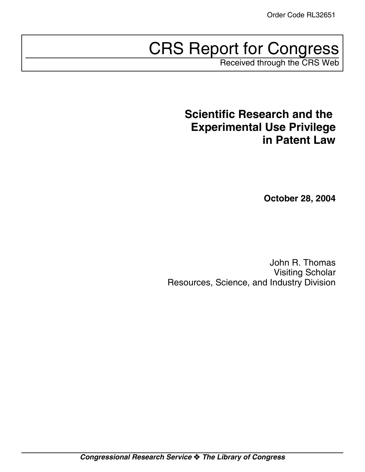# CRS Report for Congress

Received through the CRS Web

## **Scientific Research and the Experimental Use Privilege in Patent Law**

**October 28, 2004**

John R. Thomas Visiting Scholar Resources, Science, and Industry Division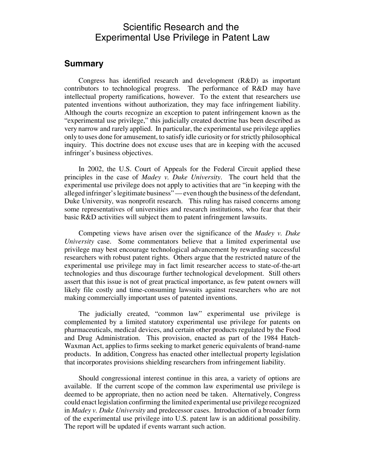## Scientific Research and the Experimental Use Privilege in Patent Law

## **Summary**

Congress has identified research and development (R&D) as important contributors to technological progress. The performance of R&D may have intellectual property ramifications, however. To the extent that researchers use patented inventions without authorization, they may face infringement liability. Although the courts recognize an exception to patent infringement known as the "experimental use privilege," this judicially created doctrine has been described as very narrow and rarely applied. In particular, the experimental use privilege applies only to uses done for amusement, to satisfy idle curiosity or for strictly philosophical inquiry. This doctrine does not excuse uses that are in keeping with the accused infringer's business objectives.

In 2002, the U.S. Court of Appeals for the Federal Circuit applied these principles in the case of *Madey v. Duke University*. The court held that the experimental use privilege does not apply to activities that are "in keeping with the alleged infringer's legitimate business" — even though the business of the defendant, Duke University, was nonprofit research. This ruling has raised concerns among some representatives of universities and research institutions, who fear that their basic R&D activities will subject them to patent infringement lawsuits.

Competing views have arisen over the significance of the *Madey v. Duke University* case. Some commentators believe that a limited experimental use privilege may best encourage technological advancement by rewarding successful researchers with robust patent rights. Others argue that the restricted nature of the experimental use privilege may in fact limit researcher access to state-of-the-art technologies and thus discourage further technological development. Still others assert that this issue is not of great practical importance, as few patent owners will likely file costly and time-consuming lawsuits against researchers who are not making commercially important uses of patented inventions.

The judicially created, "common law" experimental use privilege is complemented by a limited statutory experimental use privilege for patents on pharmaceuticals, medical devices, and certain other products regulated by the Food and Drug Administration. This provision, enacted as part of the 1984 Hatch-Waxman Act, applies to firms seeking to market generic equivalents of brand-name products. In addition, Congress has enacted other intellectual property legislation that incorporates provisions shielding researchers from infringement liability.

Should congressional interest continue in this area, a variety of options are available. If the current scope of the common law experimental use privilege is deemed to be appropriate, then no action need be taken. Alternatively, Congress could enact legislation confirming the limited experimental use privilege recognized in *Madey v. Duke University* and predecessor cases. Introduction of a broader form of the experimental use privilege into U.S. patent law is an additional possibility. The report will be updated if events warrant such action.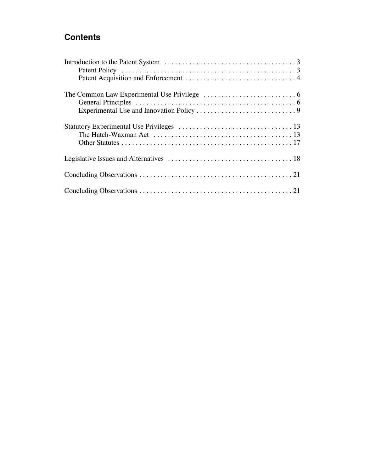## **Contents**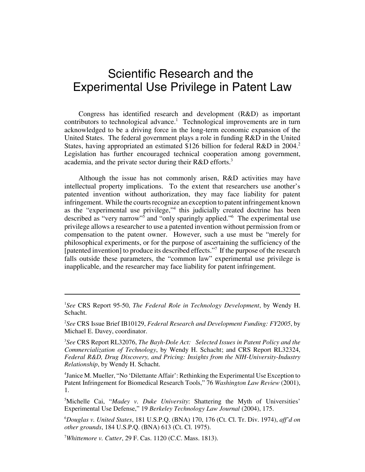## Scientific Research and the Experimental Use Privilege in Patent Law

Congress has identified research and development (R&D) as important contributors to technological advance.<sup>1</sup> Technological improvements are in turn acknowledged to be a driving force in the long-term economic expansion of the United States. The federal government plays a role in funding R&D in the United States, having appropriated an estimated \$126 billion for federal R&D in 2004.<sup>2</sup> Legislation has further encouraged technical cooperation among government, academia, and the private sector during their R&D efforts.<sup>3</sup>

Although the issue has not commonly arisen, R&D activities may have intellectual property implications. To the extent that researchers use another's patented invention without authorization, they may face liability for patent infringement. While the courts recognize an exception to patent infringement known as the "experimental use privilege,"<sup>4</sup> this judicially created doctrine has been described as "very narrow"<sup>5</sup> and "only sparingly applied."<sup>6</sup> The experimental use privilege allows a researcher to use a patented invention without permission from or compensation to the patent owner. However, such a use must be "merely for philosophical experiments, or for the purpose of ascertaining the sufficiency of the [patented invention] to produce its described effects."<sup>7</sup> If the purpose of the research falls outside these parameters, the "common law" experimental use privilege is inapplicable, and the researcher may face liability for patent infringement.

<sup>1</sup> *See* CRS Report 95-50, *The Federal Role in Technology Development*, by Wendy H. Schacht.

<sup>2</sup> *See* CRS Issue Brief IB10129, *Federal Research and Development Funding: FY2005*, by Michael E. Davey, coordinator.

<sup>3</sup> *See* CRS Report RL32076, *The Bayh-Dole Act: Selected Issues in Patent Policy and the Commercialization of Technology*, by Wendy H. Schacht; and CRS Report RL32324, *Federal R&D, Drug Discovery, and Pricing: Insights from the NIH-University-Industry Relationship*, by Wendy H. Schacht.

<sup>&</sup>lt;sup>4</sup> Janice M. Mueller, "No 'Dilettante Affair': Rethinking the Experimental Use Exception to Patent Infringement for Biomedical Research Tools," 76 *Washington Law Review* (2001), 1.

<sup>&</sup>lt;sup>5</sup>Michelle Cai, "Madey v. Duke University: Shattering the Myth of Universities' Experimental Use Defense," 19 *Berkeley Technology Law Journal* (2004), 175.

<sup>6</sup> *Douglas v. United States*, 181 U.S.P.Q. (BNA) 170, 176 (Ct. Cl. Tr. Div. 1974), *aff'd on other grounds*, 184 U.S.P.Q. (BNA) 613 (Ct. Cl. 1975).

<sup>7</sup> *Whittemore v. Cutter*, 29 F. Cas. 1120 (C.C. Mass. 1813).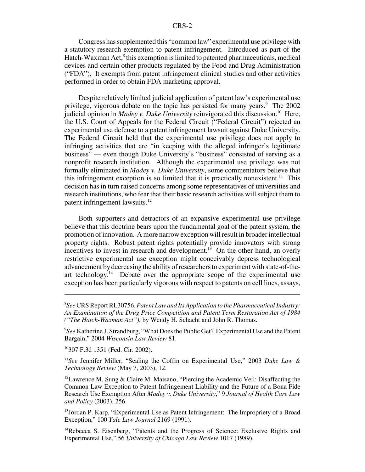Congress has supplemented this "common law" experimental use privilege with a statutory research exemption to patent infringement. Introduced as part of the Hatch-Waxman Act,<sup>8</sup> this exemption is limited to patented pharmaceuticals, medical devices and certain other products regulated by the Food and Drug Administration ("FDA"). It exempts from patent infringement clinical studies and other activities performed in order to obtain FDA marketing approval.

Despite relatively limited judicial application of patent law's experimental use privilege, vigorous debate on the topic has persisted for many years.<sup>9</sup> The 2002 judicial opinion in *Madey v. Duke University* reinvigorated this discussion.<sup>10</sup> Here, the U.S. Court of Appeals for the Federal Circuit ("Federal Circuit") rejected an experimental use defense to a patent infringement lawsuit against Duke University. The Federal Circuit held that the experimental use privilege does not apply to infringing activities that are "in keeping with the alleged infringer's legitimate business" — even though Duke University's "business" consisted of serving as a nonprofit research institution. Although the experimental use privilege was not formally eliminated in *Madey v. Duke University*, some commentators believe that this infringement exception is so limited that it is practically nonexistent.<sup>11</sup> This decision has in turn raised concerns among some representatives of universities and research institutions, who fear that their basic research activities will subject them to patent infringement lawsuits.<sup>12</sup>

Both supporters and detractors of an expansive experimental use privilege believe that this doctrine bears upon the fundamental goal of the patent system, the promotion of innovation. A more narrow exception will result in broader intellectual property rights. Robust patent rights potentially provide innovators with strong incentives to invest in research and development.<sup>13</sup> On the other hand, an overly restrictive experimental use exception might conceivably depress technological advancement by decreasing the ability of researchers to experiment with state-of-theart technology.<sup>14</sup> Debate over the appropriate scope of the experimental use exception has been particularly vigorous with respect to patents on cell lines, assays,

<sup>9</sup>See Katherine J. Strandburg, "What Does the Public Get? Experimental Use and the Patent Bargain," 2004 *Wisconsin Law Review* 81.

10307 F.3d 1351 (Fed. Cir. 2002).

<sup>11</sup>*See* Jennifer Miller, "Sealing the Coffin on Experimental Use," 2003 *Duke Law & Technology Review* (May 7, 2003), 12.

 $12$ Lawrence M. Sung & Claire M. Maisano, "Piercing the Academic Veil: Disaffecting the Common Law Exception to Patent Infringement Liability and the Future of a Bona Fide Research Use Exemption After *Madey v. Duke University*," 9 *Journal of Health Care Law and Policy* (2003), 256.

<sup>13</sup>Jordan P. Karp, "Experimental Use as Patent Infringement: The Impropriety of a Broad Exception," 100 *Yale Law Journal* 2169 (1991).

<sup>14</sup>Rebecca S. Eisenberg, "Patents and the Progress of Science: Exclusive Rights and Experimental Use," 56 *University of Chicago Law Review* 1017 (1989).

<sup>8</sup> *See* CRS Report RL30756, *Patent Law and Its Application to the Pharmaceutical Industry: An Examination of the Drug Price Competition and Patent Term Restoration Act of 1984 ("The Hatch-Waxman Act")*, by Wendy H. Schacht and John R. Thomas.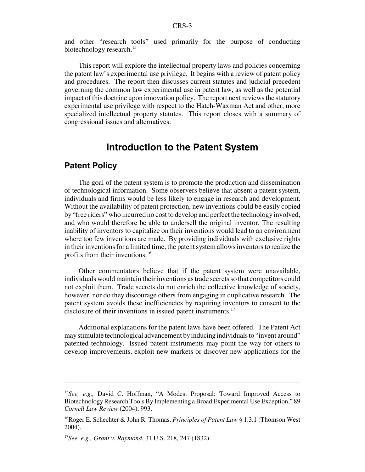and other "research tools" used primarily for the purpose of conducting biotechnology research.<sup>15</sup>

This report will explore the intellectual property laws and policies concerning the patent law's experimental use privilege. It begins with a review of patent policy and procedures. The report then discusses current statutes and judicial precedent governing the common law experimental use in patent law, as well as the potential impact of this doctrine upon innovation policy. The report next reviews the statutory experimental use privilege with respect to the Hatch-Waxman Act and other, more specialized intellectual property statutes. This report closes with a summary of congressional issues and alternatives.

## **Introduction to the Patent System**

#### **Patent Policy**

The goal of the patent system is to promote the production and dissemination of technological information. Some observers believe that absent a patent system, individuals and firms would be less likely to engage in research and development. Without the availability of patent protection, new inventions could be easily copied by "free riders" who incurred no cost to develop and perfect the technology involved, and who would therefore be able to undersell the original inventor. The resulting inability of inventors to capitalize on their inventions would lead to an environment where too few inventions are made. By providing individuals with exclusive rights in their inventions for a limited time, the patent system allows inventors to realize the profits from their inventions.16

Other commentators believe that if the patent system were unavailable, individuals would maintain their inventions as trade secrets so that competitors could not exploit them. Trade secrets do not enrich the collective knowledge of society, however, nor do they discourage others from engaging in duplicative research. The patent system avoids these inefficiencies by requiring inventors to consent to the disclosure of their inventions in issued patent instruments.<sup>17</sup>

Additional explanations for the patent laws have been offered. The Patent Act may stimulate technological advancement by inducing individuals to "invent around" patented technology. Issued patent instruments may point the way for others to develop improvements, exploit new markets or discover new applications for the

<sup>15</sup>*See, e.g.,* David C. Hoffman, "A Modest Proposal: Toward Improved Access to Biotechnology Research Tools By Implementing a Broad Experimental Use Exception," 89 *Cornell Law Review* (2004), 993.

<sup>&</sup>lt;sup>16</sup>Roger E. Schechter & John R. Thomas, *Principles of Patent Law* § 1.3.1 (Thomson West 2004).

<sup>17</sup>*See, e.g., Grant v. Raymond*, 31 U.S. 218, 247 (1832).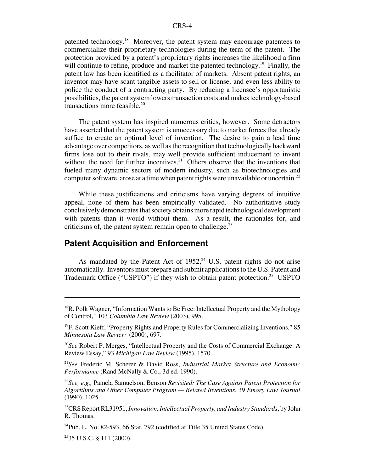patented technology.<sup>18</sup> Moreover, the patent system may encourage patentees to commercialize their proprietary technologies during the term of the patent. The protection provided by a patent's proprietary rights increases the likelihood a firm will continue to refine, produce and market the patented technology.<sup>19</sup> Finally, the patent law has been identified as a facilitator of markets. Absent patent rights, an inventor may have scant tangible assets to sell or license, and even less ability to police the conduct of a contracting party. By reducing a licensee's opportunistic possibilities, the patent system lowers transaction costs and makes technology-based transactions more feasible. $20$ 

The patent system has inspired numerous critics, however. Some detractors have asserted that the patent system is unnecessary due to market forces that already suffice to create an optimal level of invention. The desire to gain a lead time advantage over competitors, as well as the recognition that technologically backward firms lose out to their rivals, may well provide sufficient inducement to invent without the need for further incentives. $21^{\circ}$  Others observe that the inventions that fueled many dynamic sectors of modern industry, such as biotechnologies and computer software, arose at a time when patent rights were unavailable or uncertain.<sup>22</sup>

While these justifications and criticisms have varying degrees of intuitive appeal, none of them has been empirically validated. No authoritative study conclusively demonstrates that society obtains more rapid technological development with patents than it would without them. As a result, the rationales for, and criticisms of, the patent system remain open to challenge. $^{23}$ 

## **Patent Acquisition and Enforcement**

As mandated by the Patent Act of  $1952$ ,<sup>24</sup> U.S. patent rights do not arise automatically. Inventors must prepare and submit applications to the U.S. Patent and Trademark Office ("USPTO") if they wish to obtain patent protection.<sup>25</sup> USPTO

 $18R$ . Polk Wagner, "Information Wants to Be Free: Intellectual Property and the Mythology of Control," 103 *Columbia Law Review* (2003), 995.

<sup>&</sup>lt;sup>19</sup>F. Scott Kieff, "Property Rights and Property Rules for Commercializing Inventions," 85 *Minnesota Law Review* (2000), 697.

<sup>20</sup>*See* Robert P. Merges, "Intellectual Property and the Costs of Commercial Exchange: A Review Essay," 93 *Michigan Law Review* (1995), 1570.

<sup>21</sup>*See* Frederic M. Scherer & David Ross, *Industrial Market Structure and Economic Performance* (Rand McNally & Co., 3d ed. 1990).

<sup>22</sup>*See, e.g.,* Pamela Samuelson, Benson *Revisited: The Case Against Patent Protection for Algorithms and Other Computer Program — Related Inventions*, 39 *Emory Law Journal* (1990), 1025.

<sup>23</sup>CRS Report RL31951, *Innovation, Intellectual Property, and Industry Standards*, by John R. Thomas.

 $^{24}$ Pub. L. No. 82-593, 66 Stat. 792 (codified at Title 35 United States Code).

 $2535$  U.S.C. § 111 (2000).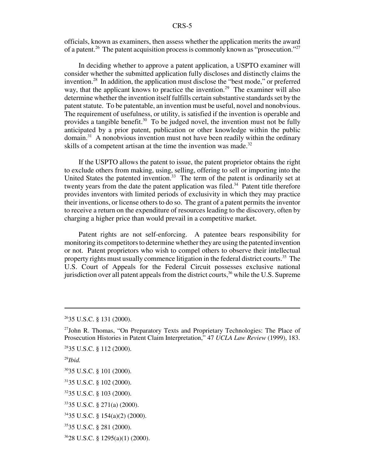officials, known as examiners, then assess whether the application merits the award of a patent.<sup>26</sup> The patent acquisition process is commonly known as "prosecution."<sup>27</sup>

In deciding whether to approve a patent application, a USPTO examiner will consider whether the submitted application fully discloses and distinctly claims the invention.28 In addition, the application must disclose the "best mode," or preferred way, that the applicant knows to practice the invention.<sup>29</sup> The examiner will also determine whether the invention itself fulfills certain substantive standards set by the patent statute. To be patentable, an invention must be useful, novel and nonobvious. The requirement of usefulness, or utility, is satisfied if the invention is operable and provides a tangible benefit.<sup>30</sup> To be judged novel, the invention must not be fully anticipated by a prior patent, publication or other knowledge within the public  $domain<sup>31</sup>$  A nonobvious invention must not have been readily within the ordinary skills of a competent artisan at the time the invention was made.<sup>32</sup>

If the USPTO allows the patent to issue, the patent proprietor obtains the right to exclude others from making, using, selling, offering to sell or importing into the United States the patented invention.<sup>33</sup> The term of the patent is ordinarily set at twenty years from the date the patent application was filed.<sup>34</sup> Patent title therefore provides inventors with limited periods of exclusivity in which they may practice their inventions, or license others to do so. The grant of a patent permits the inventor to receive a return on the expenditure of resources leading to the discovery, often by charging a higher price than would prevail in a competitive market.

Patent rights are not self-enforcing. A patentee bears responsibility for monitoring its competitors to determine whether they are using the patented invention or not. Patent proprietors who wish to compel others to observe their intellectual property rights must usually commence litigation in the federal district courts.<sup>35</sup> The U.S. Court of Appeals for the Federal Circuit possesses exclusive national jurisdiction over all patent appeals from the district courts,  $36$  while the U.S. Supreme

 $2635$  U.S.C. § 131 (2000).

<sup>&</sup>lt;sup>27</sup>John R. Thomas, "On Preparatory Texts and Proprietary Technologies: The Place of Prosecution Histories in Patent Claim Interpretation," 47 *UCLA Law Review* (1999), 183.

<sup>2835</sup> U.S.C. § 112 (2000).

<sup>29</sup>*Ibid.*

<sup>3035</sup> U.S.C. § 101 (2000).

<sup>3135</sup> U.S.C. § 102 (2000).

<sup>3235</sup> U.S.C. § 103 (2000).

<sup>3335</sup> U.S.C. § 271(a) (2000).

<sup>3435</sup> U.S.C. § 154(a)(2) (2000).

<sup>3535</sup> U.S.C. § 281 (2000).

<sup>3628</sup> U.S.C. § 1295(a)(1) (2000).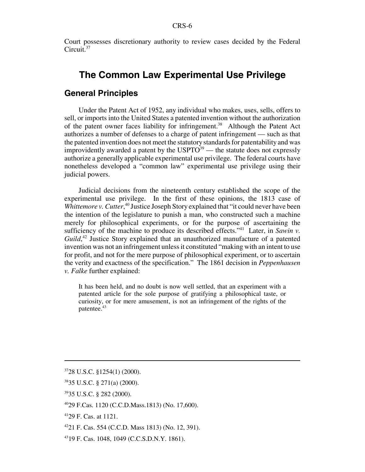Court possesses discretionary authority to review cases decided by the Federal Circuit.<sup>37</sup>

## **The Common Law Experimental Use Privilege**

## **General Principles**

Under the Patent Act of 1952, any individual who makes, uses, sells, offers to sell, or imports into the United States a patented invention without the authorization of the patent owner faces liability for infringement.<sup>38</sup> Although the Patent Act authorizes a number of defenses to a charge of patent infringement — such as that the patented invention does not meet the statutory standards for patentability and was improvidently awarded a patent by the  $USPTO<sup>39</sup>$  — the statute does not expressly authorize a generally applicable experimental use privilege. The federal courts have nonetheless developed a "common law" experimental use privilege using their judicial powers.

Judicial decisions from the nineteenth century established the scope of the experimental use privilege. In the first of these opinions, the 1813 case of Whittemore v. Cutter,<sup>40</sup> Justice Joseph Story explained that "it could never have been the intention of the legislature to punish a man, who constructed such a machine merely for philosophical experiments, or for the purpose of ascertaining the sufficiency of the machine to produce its described effects."41 Later, in *Sawin v.* Guild,<sup>42</sup> Justice Story explained that an unauthorized manufacture of a patented invention was not an infringement unless it constituted "making with an intent to use for profit, and not for the mere purpose of philosophical experiment, or to ascertain the verity and exactness of the specification." The 1861 decision in *Peppenhausen v. Falke* further explained:

It has been held, and no doubt is now well settled, that an experiment with a patented article for the sole purpose of gratifying a philosophical taste, or curiosity, or for mere amusement, is not an infringement of the rights of the patentee.<sup>43</sup>

- 3935 U.S.C. § 282 (2000).
- 4029 F.Cas. 1120 (C.C.D.Mass.1813) (No. 17,600).
- 4129 F. Cas. at 1121.

<sup>3728</sup> U.S.C. §1254(1) (2000).

<sup>3835</sup> U.S.C. § 271(a) (2000).

 $4221$  F. Cas. 554 (C.C.D. Mass 1813) (No. 12, 391).

<sup>4319</sup> F. Cas. 1048, 1049 (C.C.S.D.N.Y. 1861).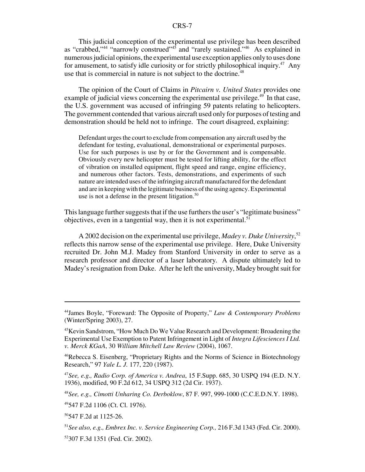This judicial conception of the experimental use privilege has been described as "crabbed,"<sup>44</sup> "narrowly construed"<sup>45</sup> and "rarely sustained."<sup>46</sup> As explained in numerous judicial opinions, the experimental use exception applies only to uses done for amusement, to satisfy idle curiosity or for strictly philosophical inquiry.<sup>47</sup> Any use that is commercial in nature is not subject to the doctrine.<sup>48</sup>

The opinion of the Court of Claims in *Pitcairn v. United States* provides one example of judicial views concerning the experimental use privilege. $49^{\circ}$  In that case, the U.S. government was accused of infringing 59 patents relating to helicopters. The government contended that various aircraft used only for purposes of testing and demonstration should be held not to infringe. The court disagreed, explaining:

Defendant urges the court to exclude from compensation any aircraft used by the defendant for testing, evaluational, demonstrational or experimental purposes. Use for such purposes is use by or for the Government and is compensable. Obviously every new helicopter must be tested for lifting ability, for the effect of vibration on installed equipment, flight speed and range, engine efficiency, and numerous other factors. Tests, demonstrations, and experiments of such nature are intended uses of the infringing aircraft manufactured for the defendant and are in keeping with the legitimate business of the using agency. Experimental use is not a defense in the present litigation. $50$ 

This language further suggests that if the use furthers the user's "legitimate business" objectives, even in a tangential way, then it is not experimental. $51$ 

A 2002 decision on the experimental use privilege, *Madey v. Duke University*, 52 reflects this narrow sense of the experimental use privilege. Here, Duke University recruited Dr. John M.J. Madey from Stanford University in order to serve as a research professor and director of a laser laboratory. A dispute ultimately led to Madey's resignation from Duke. After he left the university, Madey brought suit for

49547 F.2d 1106 (Ct. Cl. 1976).

50547 F.2d at 1125-26.

<sup>44</sup>James Boyle, "Foreward: The Opposite of Property," *Law & Contemporary Problems* (Winter/Spring 2003), 27.

<sup>45</sup>Kevin Sandstrom, "How Much Do We Value Research and Development: Broadening the Experimental Use Exemption to Patent Infringement in Light of *Integra Lifesciences I Ltd. v. Merck KGaA*, 30 *William Mitchell Law Review* (2004), 1067.

<sup>46</sup>Rebecca S. Eisenberg, "Proprietary Rights and the Norms of Science in Biotechnology Research," 97 *Yale L. J.* 177, 220 (1987).

<sup>47</sup>*See, e.g., Radio Corp. of America v. Andrea*, 15 F.Supp. 685, 30 USPQ 194 (E.D. N.Y. 1936), modified, 90 F.2d 612, 34 USPQ 312 (2d Cir. 1937).

<sup>48</sup>*See, e.g., Cimotti Unharing Co. Derboklow*, 87 F. 997, 999-1000 (C.C.E.D.N.Y. 1898).

<sup>51</sup>*See also, e.g., Embrex Inc. v. Service Engineering Corp.,* 216 F.3d 1343 (Fed. Cir. 2000).

<sup>52307</sup> F.3d 1351 (Fed. Cir. 2002).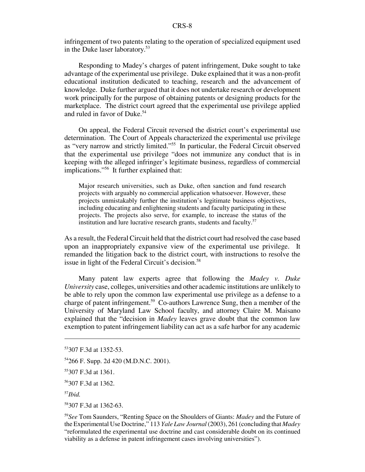infringement of two patents relating to the operation of specialized equipment used in the Duke laser laboratory.53

Responding to Madey's charges of patent infringement, Duke sought to take advantage of the experimental use privilege. Duke explained that it was a non-profit educational institution dedicated to teaching, research and the advancement of knowledge. Duke further argued that it does not undertake research or development work principally for the purpose of obtaining patents or designing products for the marketplace. The district court agreed that the experimental use privilege applied and ruled in favor of Duke.<sup>54</sup>

On appeal, the Federal Circuit reversed the district court's experimental use determination. The Court of Appeals characterized the experimental use privilege as "very narrow and strictly limited."55 In particular, the Federal Circuit observed that the experimental use privilege "does not immunize any conduct that is in keeping with the alleged infringer's legitimate business, regardless of commercial implications."<sup>56</sup> It further explained that:

Major research universities, such as Duke, often sanction and fund research projects with arguably no commercial application whatsoever. However, these projects unmistakably further the institution's legitimate business objectives, including educating and enlightening students and faculty participating in these projects. The projects also serve, for example, to increase the status of the institution and lure lucrative research grants, students and faculty.<sup>57</sup>

As a result, the Federal Circuit held that the district court had resolved the case based upon an inappropriately expansive view of the experimental use privilege. It remanded the litigation back to the district court, with instructions to resolve the issue in light of the Federal Circuit's decision.<sup>58</sup>

Many patent law experts agree that following the *Madey v. Duke University* case, colleges, universities and other academic institutions are unlikely to be able to rely upon the common law experimental use privilege as a defense to a charge of patent infringement.59 Co-authors Lawrence Sung, then a member of the University of Maryland Law School faculty, and attorney Claire M. Maisano explained that the "decision in *Madey* leaves grave doubt that the common law exemption to patent infringement liability can act as a safe harbor for any academic

58307 F.3d at 1362-63.

<sup>53307</sup> F.3d at 1352-53.

<sup>54266</sup> F. Supp. 2d 420 (M.D.N.C. 2001).

<sup>55307</sup> F.3d at 1361.

<sup>56307</sup> F.3d at 1362.

<sup>57</sup>*Ibid.*

<sup>59</sup>*See* Tom Saunders, "Renting Space on the Shoulders of Giants: *Madey* and the Future of the Experimental Use Doctrine," 113 *Yale Law Journal* (2003), 261 (concluding that *Madey* "reformulated the experimental use doctrine and cast considerable doubt on its continued viability as a defense in patent infringement cases involving universities").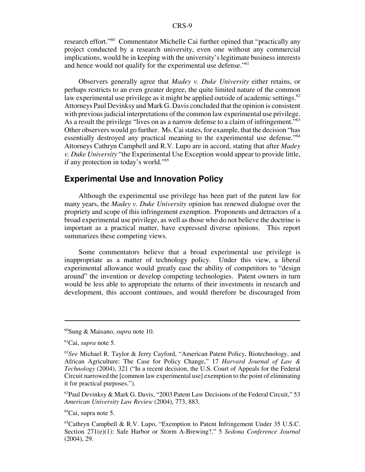research effort."60 Commentator Michelle Cai further opined that "practically any project conducted by a research university, even one without any commercial implications, would be in keeping with the university's legitimate business interests and hence would not qualify for the experimental use defense."<sup>61</sup>

Observers generally agree that *Madey v. Duke University* either retains, or perhaps restricts to an even greater degree, the quite limited nature of the common law experimental use privilege as it might be applied outside of academic settings.<sup>62</sup> Attorneys Paul Devinksy and Mark G. Davis concluded that the opinion is consistent with previous judicial interpretations of the common law experimental use privilege. As a result the privilege "lives on as a narrow defense to a claim of infringement."<sup>63</sup> Other observers would go further. Ms. Cai states, for example, that the decision "has essentially destroyed any practical meaning to the experimental use defense."64 Attorneys Cathryn Campbell and R.V. Lupo are in accord, stating that after *Madey v. Duke University* "the Experimental Use Exception would appear to provide little, if any protection in today's world."65

#### **Experimental Use and Innovation Policy**

Although the experimental use privilege has been part of the patent law for many years, the *Madey v. Duke University* opinion has renewed dialogue over the propriety and scope of this infringement exemption. Proponents and detractors of a broad experimental use privilege, as well as those who do not believe the doctrine is important as a practical matter, have expressed diverse opinions. This report summarizes these competing views.

Some commentators believe that a broad experimental use privilege is inappropriate as a matter of technology policy. Under this view, a liberal experimental allowance would greatly ease the ability of competitors to "design around" the invention or develop competing technologies. Patent owners in turn would be less able to appropriate the returns of their investments in research and development, this account continues, and would therefore be discouraged from

<sup>60</sup>Sung & Maisano, *supra* note 10.

<sup>61</sup>Cai, *supra* note 5.

<sup>62</sup>*See* Michael R. Taylor & Jerry Cayford, "American Patent Policy, Biotechnology, and African Agriculture: The Case for Policy Change," 17 *Harvard Journal of Law & Technology* (2004), 321 ("In a recent decision, the U.S. Court of Appeals for the Federal Circuit narrowed the [common law experimental use] exemption to the point of eliminating it for practical purposes.").

 $^{63}$ Paul Devinksy & Mark G. Davis, "2003 Patent Law Decisions of the Federal Circuit," 53 *American University Law Review* (2004), 773, 883.

<sup>64</sup>Cai, supra note 5.

<sup>65</sup>Cathryn Campbell & R.V. Lupo, "Exemption to Patent Infringement Under 35 U.S.C. Section 271(e)(1): Safe Harbor or Storm A-Brewing?," 5 *Sedona Conference Journal* (2004), 29.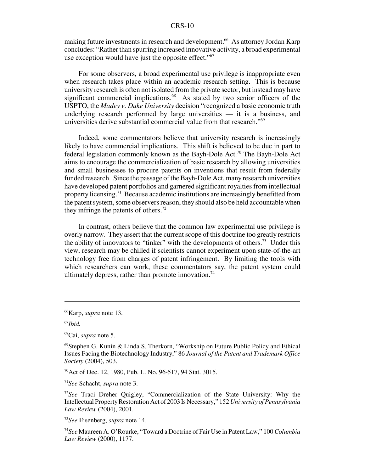making future investments in research and development.<sup>66</sup> As attorney Jordan Karp concludes: "Rather than spurring increased innovative activity, a broad experimental use exception would have just the opposite effect."<sup>67</sup>

For some observers, a broad experimental use privilege is inappropriate even when research takes place within an academic research setting. This is because university research is often not isolated from the private sector, but instead may have significant commercial implications.<sup>68</sup> As stated by two senior officers of the USPTO, the *Madey v. Duke University* decision "recognized a basic economic truth underlying research performed by large universities — it is a business, and universities derive substantial commercial value from that research."69

Indeed, some commentators believe that university research is increasingly likely to have commercial implications. This shift is believed to be due in part to federal legislation commonly known as the Bayh-Dole Act.<sup>70</sup> The Bayh-Dole Act aims to encourage the commercialization of basic research by allowing universities and small businesses to procure patents on inventions that result from federally funded research. Since the passage of the Bayh-Dole Act, many research universities have developed patent portfolios and garnered significant royalties from intellectual property licensing.71 Because academic institutions are increasingly benefitted from the patent system, some observers reason, they should also be held accountable when they infringe the patents of others.<sup>72</sup>

In contrast, others believe that the common law experimental use privilege is overly narrow. They assert that the current scope of this doctrine too greatly restricts the ability of innovators to "tinker" with the developments of others.<sup>73</sup> Under this view, research may be chilled if scientists cannot experiment upon state-of-the-art technology free from charges of patent infringement. By limiting the tools with which researchers can work, these commentators say, the patent system could ultimately depress, rather than promote innovation.<sup>74</sup>

70Act of Dec. 12, 1980, Pub. L. No. 96-517, 94 Stat. 3015.

<sup>71</sup>*See* Schacht, *supra* note 3.

<sup>72</sup>*See* Traci Dreher Quigley, "Commercialization of the State University: Why the Intellectual Property Restoration Act of 2003 Is Necessary," 152 *University of Pennsylvania Law Review* (2004), 2001.

<sup>66</sup>Karp, *supra* note 13.

<sup>67</sup>*Ibid.*

<sup>68</sup>Cai, *supra* note 5.

<sup>69</sup>Stephen G. Kunin & Linda S. Therkorn, "Workship on Future Public Policy and Ethical Issues Facing the Biotechnology Industry," 86 *Journal of the Patent and Trademark Office Society* (2004), 503.

<sup>73</sup>*See* Eisenberg, *supra* note 14.

<sup>74</sup>*See* Maureen A. O'Rourke, "Toward a Doctrine of Fair Use in Patent Law," 100 *Columbia Law Review* (2000), 1177.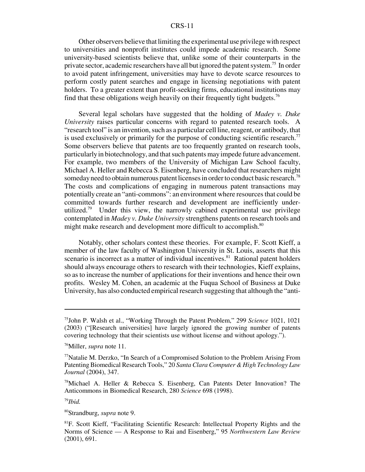Other observers believe that limiting the experimental use privilege with respect to universities and nonprofit institutes could impede academic research. Some university-based scientists believe that, unlike some of their counterparts in the private sector, academic researchers have all but ignored the patent system.<sup>75</sup> In order to avoid patent infringement, universities may have to devote scarce resources to perform costly patent searches and engage in licensing negotiations with patent holders. To a greater extent than profit-seeking firms, educational institutions may find that these obligations weigh heavily on their frequently tight budgets.<sup>76</sup>

Several legal scholars have suggested that the holding of *Madey v. Duke University* raises particular concerns with regard to patented research tools. A "research tool" is an invention, such as a particular cell line, reagent, or antibody, that is used exclusively or primarily for the purpose of conducting scientific research.<sup>77</sup> Some observers believe that patents are too frequently granted on research tools, particularly in biotechnology, and that such patents may impede future advancement. For example, two members of the University of Michigan Law School faculty, Michael A. Heller and Rebecca S. Eisenberg, have concluded that researchers might someday need to obtain numerous patent licenses in order to conduct basic research.<sup>78</sup> The costs and complications of engaging in numerous patent transactions may potentially create an "anti-commons": an environment where resources that could be committed towards further research and development are inefficiently underutilized.<sup>79</sup> Under this view, the narrowly cabined experimental use privilege contemplated in *Madey v. Duke University* strengthens patents on research tools and might make research and development more difficult to accomplish.<sup>80</sup>

Notably, other scholars contest these theories. For example, F. Scott Kieff, a member of the law faculty of Washington University in St. Louis, asserts that this scenario is incorrect as a matter of individual incentives.<sup>81</sup> Rational patent holders should always encourage others to research with their technologies, Kieff explains, so as to increase the number of applications for their inventions and hence their own profits. Wesley M. Cohen, an academic at the Fuqua School of Business at Duke University, has also conducted empirical research suggesting that although the "anti-

80Strandburg, *supra* note 9.

<sup>75</sup>John P. Walsh et al., "Working Through the Patent Problem," 299 *Science* 1021, 1021 (2003) ("[Research universities] have largely ignored the growing number of patents covering technology that their scientists use without license and without apology.").

<sup>76</sup>Miller, *supra* note 11.

<sup>77</sup>Natalie M. Derzko, "In Search of a Compromised Solution to the Problem Arising From Patenting Biomedical Research Tools," 20 *Santa Clara Computer & High Technology Law Journal* (2004), 347.

<sup>78</sup>Michael A. Heller & Rebecca S. Eisenberg, Can Patents Deter Innovation? The Anticommons in Biomedical Research, 280 *Science* 698 (1998).

<sup>79</sup>*Ibid.*

<sup>81</sup>F. Scott Kieff, "Facilitating Scientific Research: Intellectual Property Rights and the Norms of Science — A Response to Rai and Eisenberg," 95 *Northwestern Law Review* (2001), 691.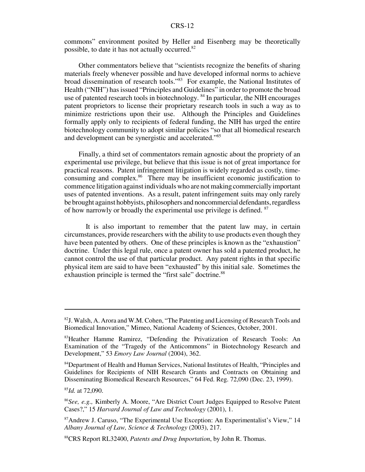commons" environment posited by Heller and Eisenberg may be theoretically possible, to date it has not actually occurred.82

Other commentators believe that "scientists recognize the benefits of sharing materials freely whenever possible and have developed informal norms to achieve broad dissemination of research tools."83 For example, the National Institutes of Health ("NIH") has issued "Principles and Guidelines" in order to promote the broad use of patented research tools in biotechnology. 84 In particular, the NIH encourages patent proprietors to license their proprietary research tools in such a way as to minimize restrictions upon their use. Although the Principles and Guidelines formally apply only to recipients of federal funding, the NIH has urged the entire biotechnology community to adopt similar policies "so that all biomedical research and development can be synergistic and accelerated."85

Finally, a third set of commentators remain agnostic about the propriety of an experimental use privilege, but believe that this issue is not of great importance for practical reasons. Patent infringement litigation is widely regarded as costly, timeconsuming and complex.<sup>86</sup> There may be insufficient economic justification to commence litigation against individuals who are not making commercially important uses of patented inventions. As a result, patent infringement suits may only rarely be brought against hobbyists, philosophers and noncommercial defendants, regardless of how narrowly or broadly the experimental use privilege is defined. 87

It is also important to remember that the patent law may, in certain circumstances, provide researchers with the ability to use products even though they have been patented by others. One of these principles is known as the "exhaustion" doctrine. Under this legal rule, once a patent owner has sold a patented product, he cannot control the use of that particular product. Any patent rights in that specific physical item are said to have been "exhausted" by this initial sale. Sometimes the exhaustion principle is termed the "first sale" doctrine.<sup>88</sup>

 $82$ J. Walsh, A. Arora and W.M. Cohen, "The Patenting and Licensing of Research Tools and Biomedical Innovation," Mimeo, National Academy of Sciences, October, 2001.

<sup>&</sup>lt;sup>83</sup>Heather Hamme Ramirez, "Defending the Privatization of Research Tools: An Examination of the "Tragedy of the Anticommons" in Biotechnology Research and Development," 53 *Emory Law Journal* (2004), 362.

<sup>84</sup>Department of Health and Human Services, National Institutes of Health, "Principles and Guidelines for Recipients of NIH Research Grants and Contracts on Obtaining and Disseminating Biomedical Research Resources," 64 Fed. Reg. 72,090 (Dec. 23, 1999).

<sup>85</sup>*Id.* at 72,090.

<sup>86</sup>*See, e.g.,* Kimberly A. Moore, "Are District Court Judges Equipped to Resolve Patent Cases?," 15 *Harvard Journal of Law and Technology* (2001), 1.

<sup>87</sup>Andrew J. Caruso, "The Experimental Use Exception: An Experimentalist's View," 14 *Albany Journal of Law, Science & Technology* (2003), 217.

<sup>88</sup>CRS Report RL32400, *Patents and Drug Importation*, by John R. Thomas.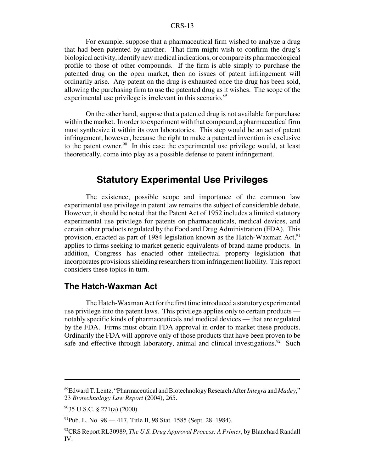For example, suppose that a pharmaceutical firm wished to analyze a drug that had been patented by another. That firm might wish to confirm the drug's biological activity, identify new medical indications, or compare its pharmacological profile to those of other compounds. If the firm is able simply to purchase the patented drug on the open market, then no issues of patent infringement will ordinarily arise. Any patent on the drug is exhausted once the drug has been sold, allowing the purchasing firm to use the patented drug as it wishes. The scope of the experimental use privilege is irrelevant in this scenario.<sup>89</sup>

On the other hand, suppose that a patented drug is not available for purchase within the market. In order to experiment with that compound, a pharmaceutical firm must synthesize it within its own laboratories. This step would be an act of patent infringement, however, because the right to make a patented invention is exclusive to the patent owner. $90$  In this case the experimental use privilege would, at least theoretically, come into play as a possible defense to patent infringement.

## **Statutory Experimental Use Privileges**

The existence, possible scope and importance of the common law experimental use privilege in patent law remains the subject of considerable debate. However, it should be noted that the Patent Act of 1952 includes a limited statutory experimental use privilege for patents on pharmaceuticals, medical devices, and certain other products regulated by the Food and Drug Administration (FDA). This provision, enacted as part of 1984 legislation known as the Hatch-Waxman Act,  $91$ applies to firms seeking to market generic equivalents of brand-name products. In addition, Congress has enacted other intellectual property legislation that incorporates provisions shielding researchers from infringement liability. This report considers these topics in turn.

### **The Hatch-Waxman Act**

The Hatch-Waxman Act for the first time introduced a statutory experimental use privilege into the patent laws. This privilege applies only to certain products notably specific kinds of pharmaceuticals and medical devices — that are regulated by the FDA. Firms must obtain FDA approval in order to market these products. Ordinarily the FDA will approve only of those products that have been proven to be safe and effective through laboratory, animal and clinical investigations.<sup>92</sup> Such

<sup>89</sup>Edward T. Lentz, "Pharmaceutical and Biotechnology Research After *Integra* and *Madey*," 23 *Biotechnology Law Report* (2004), 265.

<sup>9035</sup> U.S.C. § 271(a) (2000).

<sup>91</sup>Pub. L. No. 98 — 417, Title II, 98 Stat. 1585 (Sept. 28, 1984).

<sup>92</sup>CRS Report RL30989, *The U.S. Drug Approval Process: A Primer*, by Blanchard Randall IV.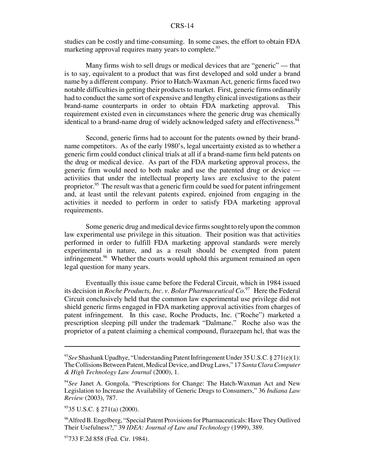studies can be costly and time-consuming. In some cases, the effort to obtain FDA marketing approval requires many years to complete.<sup>93</sup>

Many firms wish to sell drugs or medical devices that are "generic" — that is to say, equivalent to a product that was first developed and sold under a brand name by a different company. Prior to Hatch-Waxman Act, generic firms faced two notable difficulties in getting their products to market. First, generic firms ordinarily had to conduct the same sort of expensive and lengthy clinical investigations as their brand-name counterparts in order to obtain FDA marketing approval. This requirement existed even in circumstances where the generic drug was chemically identical to a brand-name drug of widely acknowledged safety and effectiveness.<sup>94</sup>

Second, generic firms had to account for the patents owned by their brandname competitors. As of the early 1980's, legal uncertainty existed as to whether a generic firm could conduct clinical trials at all if a brand-name firm held patents on the drug or medical device. As part of the FDA marketing approval process, the generic firm would need to both make and use the patented drug or device activities that under the intellectual property laws are exclusive to the patent proprietor.<sup>95</sup> The result was that a generic firm could be sued for patent infringement and, at least until the relevant patents expired, enjoined from engaging in the activities it needed to perform in order to satisfy FDA marketing approval requirements.

Some generic drug and medical device firms sought to rely upon the common law experimental use privilege in this situation. Their position was that activities performed in order to fulfill FDA marketing approval standards were merely experimental in nature, and as a result should be exempted from patent infringement.<sup>96</sup> Whether the courts would uphold this argument remained an open legal question for many years.

Eventually this issue came before the Federal Circuit, which in 1984 issued its decision in *Roche Products, Inc. v. Bolar Pharmaceutical Co.*97 Here the Federal Circuit conclusively held that the common law experimental use privilege did not shield generic firms engaged in FDA marketing approval activities from charges of patent infringement. In this case, Roche Products, Inc. ("Roche") marketed a prescription sleeping pill under the trademark "Dalmane." Roche also was the proprietor of a patent claiming a chemical compound, flurazepam hcl, that was the

<sup>93</sup>*See* Shashank Upadhye, "Understanding Patent Infringement Under 35 U.S.C. § 271(e)(1): The Collisions Between Patent, Medical Device, and Drug Laws," 17 *Santa Clara Computer & High Technology Law Journal* (2000), 1.

<sup>94</sup>*See* Janet A. Gongola, "Prescriptions for Change: The Hatch-Waxman Act and New Legislation to Increase the Availability of Generic Drugs to Consumers," 36 *Indiana Law Review* (2003), 787.

<sup>9535</sup> U.S.C. § 271(a) (2000).

<sup>96</sup>Alfred B. Engelberg, "Special Patent Provisions for Pharmaceuticals: Have They Outlived Their Usefulness?," 39 *IDEA: Journal of Law and Technology* (1999), 389.

<sup>&</sup>lt;sup>97</sup>733 F.2d 858 (Fed. Cir. 1984).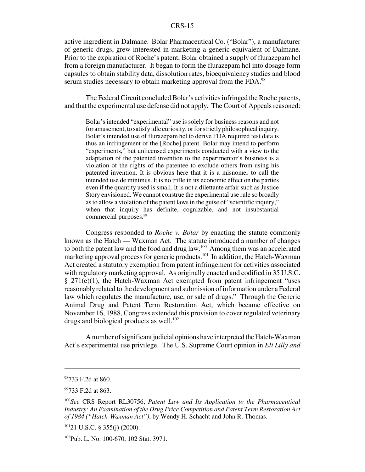active ingredient in Dalmane. Bolar Pharmaceutical Co. ("Bolar"), a manufacturer of generic drugs, grew interested in marketing a generic equivalent of Dalmane. Prior to the expiration of Roche's patent, Bolar obtained a supply of flurazepam hcl from a foreign manufacturer. It began to form the flurazepam hcl into dosage form capsules to obtain stability data, dissolution rates, bioequivalency studies and blood serum studies necessary to obtain marketing approval from the FDA.<sup>98</sup>

The Federal Circuit concluded Bolar's activities infringed the Roche patents, and that the experimental use defense did not apply. The Court of Appeals reasoned:

Bolar's intended "experimental" use is solely for business reasons and not for amusement, to satisfy idle curiosity, or for strictly philosophical inquiry. Bolar's intended use of flurazepam hcl to derive FDA required test data is thus an infringement of the [Roche] patent. Bolar may intend to perform "experiments," but unlicensed experiments conducted with a view to the adaptation of the patented invention to the experimentor's business is a violation of the rights of the patentee to exclude others from using his patented invention. It is obvious here that it is a misnomer to call the intended use de minimus. It is no trifle in its economic effect on the parties even if the quantity used is small. It is not a dilettante affair such as Justice Story envisioned. We cannot construe the experimental use rule so broadly as to allow a violation of the patent laws in the guise of "scientific inquiry," when that inquiry has definite, cognizable, and not insubstantial commercial purposes.<sup>99</sup>

Congress responded to *Roche v. Bolar* by enacting the statute commonly known as the Hatch — Waxman Act. The statute introduced a number of changes to both the patent law and the food and drug law. $100$  Among them was an accelerated marketing approval process for generic products.<sup>101</sup> In addition, the Hatch-Waxman Act created a statutory exemption from patent infringement for activities associated with regulatory marketing approval. As originally enacted and codified in 35 U.S.C.  $§$  271(e)(1), the Hatch-Waxman Act exempted from patent infringement "uses" reasonably related to the development and submission of information under a Federal law which regulates the manufacture, use, or sale of drugs." Through the Generic Animal Drug and Patent Term Restoration Act, which became effective on November 16, 1988, Congress extended this provision to cover regulated veterinary drugs and biological products as well. $102$ 

A number of significant judicial opinions have interpreted the Hatch-Waxman Act's experimental use privilege. The U.S. Supreme Court opinion in *Eli Lilly and*

<sup>&</sup>lt;sup>98</sup>733 F.2d at 860.

<sup>&</sup>lt;sup>99</sup>733 F.2d at 863.

<sup>100</sup>*See* CRS Report RL30756, *Patent Law and Its Application to the Pharmaceutical Industry: An Examination of the Drug Price Competition and Patent Term Restoration Act of 1984 ("Hatch-Waxman Act")*, by Wendy H. Schacht and John R. Thomas.

 $10121$  U.S.C. § 355(j) (2000).

<sup>&</sup>lt;sup>102</sup>Pub. L. No. 100-670, 102 Stat. 3971.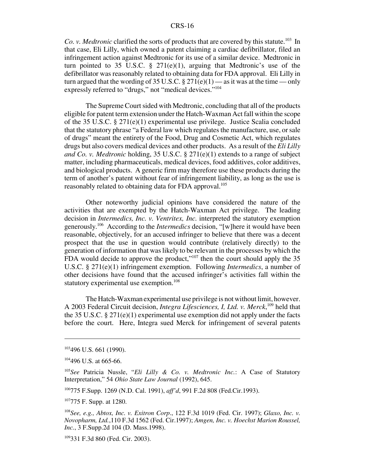*Co. v. Medtronic* clarified the sorts of products that are covered by this statute.<sup>103</sup> In that case, Eli Lilly, which owned a patent claiming a cardiac defibrillator, filed an infringement action against Medtronic for its use of a similar device. Medtronic in turn pointed to 35 U.S.C.  $\S$  271(e)(1), arguing that Medtronic's use of the defibrillator was reasonably related to obtaining data for FDA approval. Eli Lilly in turn argued that the wording of 35 U.S.C.  $\S 271(e)(1)$  — as it was at the time — only expressly referred to "drugs," not "medical devices."<sup>104</sup>

The Supreme Court sided with Medtronic, concluding that all of the products eligible for patent term extension under the Hatch-Waxman Act fall within the scope of the 35 U.S.C. § 271(e)(1) experimental use privilege. Justice Scalia concluded that the statutory phrase "a Federal law which regulates the manufacture, use, or sale of drugs" meant the entirety of the Food, Drug and Cosmetic Act, which regulates drugs but also covers medical devices and other products. As a result of the *Eli Lilly and Co. v. Medtronic* holding, 35 U.S.C. § 271(e)(1) extends to a range of subject matter, including pharmaceuticals, medical devices, food additives, color additives, and biological products. A generic firm may therefore use these products during the term of another's patent without fear of infringement liability, as long as the use is reasonably related to obtaining data for FDA approval.<sup>105</sup>

Other noteworthy judicial opinions have considered the nature of the activities that are exempted by the Hatch-Waxman Act privilege. The leading decision in *Intermedics, Inc. v. Ventritex, Inc.* interpreted the statutory exemption generously.106 According to the *Intermedics* decision, "[w]here it would have been reasonable, objectively, for an accused infringer to believe that there was a decent prospect that the use in question would contribute (relatively directly) to the generation of information that was likely to be relevant in the processes by which the FDA would decide to approve the product," $107$  then the court should apply the 35 U.S.C. § 271(e)(1) infringement exemption. Following *Intermedics*, a number of other decisions have found that the accused infringer's activities fall within the statutory experimental use exemption.<sup>108</sup>

The Hatch-Waxman experimental use privilege is not without limit, however. A 2003 Federal Circuit decision, *Integra Lifesciences, I, Ltd. v. Merck*,<sup>109</sup> held that the 35 U.S.C. § 271(e)(1) experimental use exemption did not apply under the facts before the court. Here, Integra sued Merck for infringement of several patents

106775 F.Supp. 1269 (N.D. Cal. 1991), *aff'd*, 991 F.2d 808 (Fed.Cir.1993).

107775 F. Supp. at 1280.

 $103496$  U.S. 661 (1990).

<sup>&</sup>lt;sup>104</sup>496 U.S. at 665-66.

<sup>105</sup>*See* Patricia Nussle, "*Eli Lilly & Co. v. Medtronic Inc.*: A Case of Statutory Interpretation," 54 *Ohio State Law Journal* (1992), 645.

<sup>108</sup>*See, e.g., Abtox, Inc. v. Exitron Corp*., 122 F.3d 1019 (Fed. Cir. 1997); *Glaxo, Inc. v. Novopharm, Ltd.*,110 F.3d 1562 (Fed. Cir.1997); *Amgen, Inc. v. Hoechst Marion Roussel, Inc.*, 3 F.Supp.2d 104 (D. Mass.1998).

<sup>109331</sup> F.3d 860 (Fed. Cir. 2003).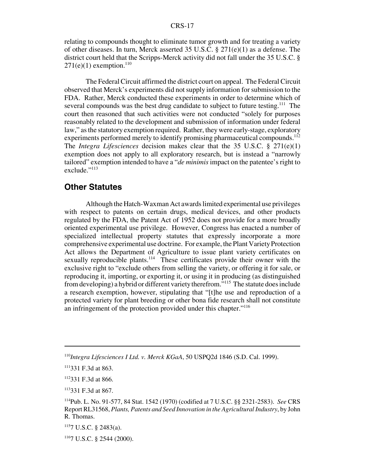relating to compounds thought to eliminate tumor growth and for treating a variety of other diseases. In turn, Merck asserted 35 U.S.C. § 271(e)(1) as a defense. The district court held that the Scripps-Merck activity did not fall under the 35 U.S.C. §  $271(e)(1)$  exemption.<sup>110</sup>

The Federal Circuit affirmed the district court on appeal. The Federal Circuit observed that Merck's experiments did not supply information for submission to the FDA. Rather, Merck conducted these experiments in order to determine which of several compounds was the best drug candidate to subject to future testing.<sup>111</sup> The court then reasoned that such activities were not conducted "solely for purposes reasonably related to the development and submission of information under federal law," as the statutory exemption required. Rather, they were early-stage, exploratory experiments performed merely to identify promising pharmaceutical compounds.<sup>112</sup> The *Integra Lifesciences* decision makes clear that the 35 U.S.C. § 271(e)(1) exemption does not apply to all exploratory research, but is instead a "narrowly tailored" exemption intended to have a "*de minimis* impact on the patentee's right to exclude."<sup>113</sup>

### **Other Statutes**

Although the Hatch-Waxman Act awards limited experimental use privileges with respect to patents on certain drugs, medical devices, and other products regulated by the FDA, the Patent Act of 1952 does not provide for a more broadly oriented experimental use privilege. However, Congress has enacted a number of specialized intellectual property statutes that expressly incorporate a more comprehensive experimental use doctrine. For example, the Plant Variety Protection Act allows the Department of Agriculture to issue plant variety certificates on sexually reproducible plants.<sup>114</sup> These certificates provide their owner with the exclusive right to "exclude others from selling the variety, or offering it for sale, or reproducing it, importing, or exporting it, or using it in producing (as distinguished from developing) a hybrid or different variety therefrom."115 The statute does include a research exemption, however, stipulating that "[t]he use and reproduction of a protected variety for plant breeding or other bona fide research shall not constitute an infringement of the protection provided under this chapter."116

113331 F.3d at 867.

<sup>110</sup>*Integra Lifesciences I Ltd. v. Merck KGaA*, 50 USPQ2d 1846 (S.D. Cal. 1999).

<sup>111331</sup> F.3d at 863.

<sup>112331</sup> F.3d at 866.

<sup>114</sup>Pub. L. No. 91-577, 84 Stat. 1542 (1970) (codified at 7 U.S.C. §§ 2321-2583). *See* CRS Report RL31568, *Plants, Patents and Seed Innovation in the Agricultural Industry*, by John R. Thomas.

 $1157$  U.S.C. § 2483(a).

<sup>1167</sup> U.S.C. § 2544 (2000).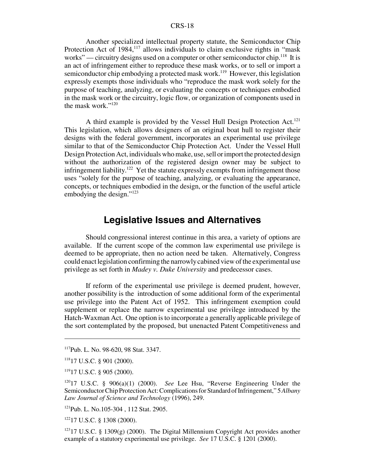Another specialized intellectual property statute, the Semiconductor Chip Protection Act of  $1984$ ,<sup>117</sup> allows individuals to claim exclusive rights in "mask" works" — circuitry designs used on a computer or other semiconductor chip.<sup>118</sup> It is an act of infringement either to reproduce these mask works, or to sell or import a semiconductor chip embodying a protected mask work.<sup>119</sup> However, this legislation expressly exempts those individuals who "reproduce the mask work solely for the purpose of teaching, analyzing, or evaluating the concepts or techniques embodied in the mask work or the circuitry, logic flow, or organization of components used in the mask work."<sup>120</sup>

A third example is provided by the Vessel Hull Design Protection Act.<sup>121</sup> This legislation, which allows designers of an original boat hull to register their designs with the federal government, incorporates an experimental use privilege similar to that of the Semiconductor Chip Protection Act. Under the Vessel Hull Design Protection Act, individuals who make, use, sell or import the protected design without the authorization of the registered design owner may be subject to infringement liability.<sup>122</sup> Yet the statute expressly exempts from infringement those uses "solely for the purpose of teaching, analyzing, or evaluating the appearance, concepts, or techniques embodied in the design, or the function of the useful article embodying the design."<sup>123</sup>

## **Legislative Issues and Alternatives**

Should congressional interest continue in this area, a variety of options are available. If the current scope of the common law experimental use privilege is deemed to be appropriate, then no action need be taken. Alternatively, Congress could enact legislation confirming the narrowly cabined view of the experimental use privilege as set forth in *Madey v. Duke University* and predecessor cases.

If reform of the experimental use privilege is deemed prudent, however, another possibility is the introduction of some additional form of the experimental use privilege into the Patent Act of 1952. This infringement exemption could supplement or replace the narrow experimental use privilege introduced by the Hatch-Waxman Act. One option is to incorporate a generally applicable privilege of the sort contemplated by the proposed, but unenacted Patent Competitiveness and

121Pub. L. No.105-304 , 112 Stat. 2905.

12217 U.S.C. § 1308 (2000).

<sup>123</sup>17 U.S.C. § 1309(g) (2000). The Digital Millennium Copyright Act provides another example of a statutory experimental use privilege. *See* 17 U.S.C. § 1201 (2000).

<sup>117</sup>Pub. L. No. 98-620, 98 Stat. 3347.

<sup>11817</sup> U.S.C. § 901 (2000).

<sup>11917</sup> U.S.C. § 905 (2000).

<sup>12017</sup> U.S.C. § 906(a)(1) (2000). *See* Lee Hsu, "Reverse Engineering Under the Semiconductor Chip Protection Act: Complications for Standard of Infringement," 5 *Albany Law Journal of Science and Technology* (1996), 249.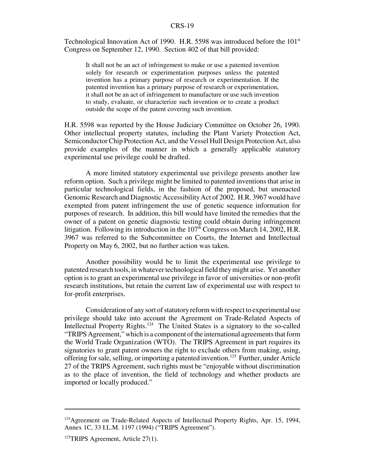Technological Innovation Act of 1990. H.R. 5598 was introduced before the  $101<sup>st</sup>$ Congress on September 12, 1990. Section 402 of that bill provided:

It shall not be an act of infringement to make or use a patented invention solely for research or experimentation purposes unless the patented invention has a primary purpose of research or experimentation. If the patented invention has a primary purpose of research or experimentation, it shall not be an act of infringement to manufacture or use such invention to study, evaluate, or characterize such invention or to create a product outside the scope of the patent covering such invention.

H.R. 5598 was reported by the House Judiciary Committee on October 26, 1990. Other intellectual property statutes, including the Plant Variety Protection Act, Semiconductor Chip Protection Act, and the Vessel Hull Design Protection Act, also provide examples of the manner in which a generally applicable statutory experimental use privilege could be drafted.

A more limited statutory experimental use privilege presents another law reform option. Such a privilege might be limited to patented inventions that arise in particular technological fields, in the fashion of the proposed, but unenacted Genomic Research and Diagnostic Accessibility Act of 2002. H.R. 3967 would have exempted from patent infringement the use of genetic sequence information for purposes of research. In addition, this bill would have limited the remedies that the owner of a patent on genetic diagnostic testing could obtain during infringement litigation. Following its introduction in the  $107<sup>th</sup>$  Congress on March 14, 2002, H.R. 3967 was referred to the Subcommittee on Courts, the Internet and Intellectual Property on May 6, 2002, but no further action was taken.

Another possibility would be to limit the experimental use privilege to patented research tools, in whatever technological field they might arise. Yet another option is to grant an experimental use privilege in favor of universities or non-profit research institutions, but retain the current law of experimental use with respect to for-profit enterprises.

Consideration of any sort of statutory reform with respect to experimental use privilege should take into account the Agreement on Trade-Related Aspects of Intellectual Property Rights.<sup>124</sup> The United States is a signatory to the so-called "TRIPS Agreement," which is a component of the international agreements that form the World Trade Organization (WTO). The TRIPS Agreement in part requires its signatories to grant patent owners the right to exclude others from making, using, offering for sale, selling, or importing a patented invention.125 Further, under Article 27 of the TRIPS Agreement, such rights must be "enjoyable without discrimination as to the place of invention, the field of technology and whether products are imported or locally produced."

<sup>&</sup>lt;sup>124</sup> Agreement on Trade-Related Aspects of Intellectual Property Rights, Apr. 15, 1994, Annex 1C, 33 I.L.M. 1197 (1994) ("TRIPS Agreement").

 $125$ TRIPS Agreement, Article 27(1).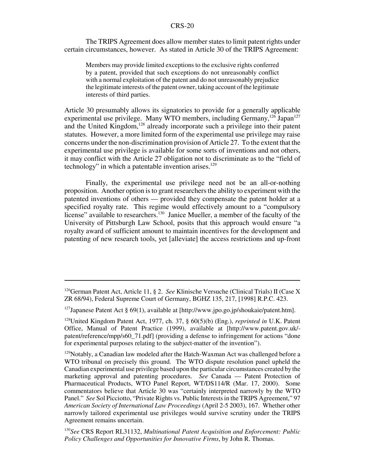The TRIPS Agreement does allow member states to limit patent rights under certain circumstances, however. As stated in Article 30 of the TRIPS Agreement:

Members may provide limited exceptions to the exclusive rights conferred by a patent, provided that such exceptions do not unreasonably conflict with a normal exploitation of the patent and do not unreasonably prejudice the legitimate interests of the patent owner, taking account of the legitimate interests of third parties.

Article 30 presumably allows its signatories to provide for a generally applicable experimental use privilege. Many WTO members, including Germany,<sup>126</sup> Japan<sup>127</sup> and the United Kingdom,<sup>128</sup> already incorporate such a privilege into their patent statutes. However, a more limited form of the experimental use privilege may raise concerns under the non-discrimination provision of Article 27. To the extent that the experimental use privilege is available for some sorts of inventions and not others, it may conflict with the Article 27 obligation not to discriminate as to the "field of technology" in which a patentable invention arises.<sup>129</sup>

Finally, the experimental use privilege need not be an all-or-nothing proposition. Another option is to grant researchers the ability to experiment with the patented inventions of others — provided they compensate the patent holder at a specified royalty rate. This regime would effectively amount to a "compulsory license" available to researchers.<sup>130</sup> Janice Mueller, a member of the faculty of the University of Pittsburgh Law School, posits that this approach would ensure "a royalty award of sufficient amount to maintain incentives for the development and patenting of new research tools, yet [alleviate] the access restrictions and up-front

<sup>126</sup>German Patent Act, Article 11, § 2. *See* Klinische Versuche (Clinical Trials) II (Case X ZR 68/94), Federal Supreme Court of Germany, BGHZ 135, 217, [1998] R.P.C. 423.

<sup>&</sup>lt;sup>127</sup>Japanese Patent Act § 69(1), available at [http://www.jpo.go.jp/shoukaie/patent.htm].

<sup>128</sup>United Kingdom Patent Act, 1977, ch. 37, § 60(5)(b) (Eng.), *reprinted in* U.K. Patent Office, Manual of Patent Practice (1999), available at [http://www.patent.gov.uk/ patent/reference/mpp/s60\_71.pdf] (providing a defense to infringement for actions "done for experimental purposes relating to the subject-matter of the invention").

 $129$ Notably, a Canadian law modeled after the Hatch-Waxman Act was challenged before a WTO tribunal on precisely this ground. The WTO dispute resolution panel upheld the Canadian experimental use privilege based upon the particular circumstances created by the marketing approval and patenting procedures. *See* Canada — Patent Protection of Pharmaceutical Products, WTO Panel Report, WT/DS114/R (Mar. 17, 2000). Some commentators believe that Article 30 was "certainly interpreted narrowly by the WTO Panel." *See* Sol Picciotto, "Private Rights vs. Public Interests in the TRIPS Agreement," 97 *American Society of International Law Proceedings* (April 2-5 2003), 167. Whether other narrowly tailored experimental use privileges would survive scrutiny under the TRIPS Agreement remains uncertain.

<sup>130</sup>*See* CRS Report RL31132, *Multinational Patent Acquisition and Enforcement: Public Policy Challenges and Opportunities for Innovative Firms*, by John R. Thomas.